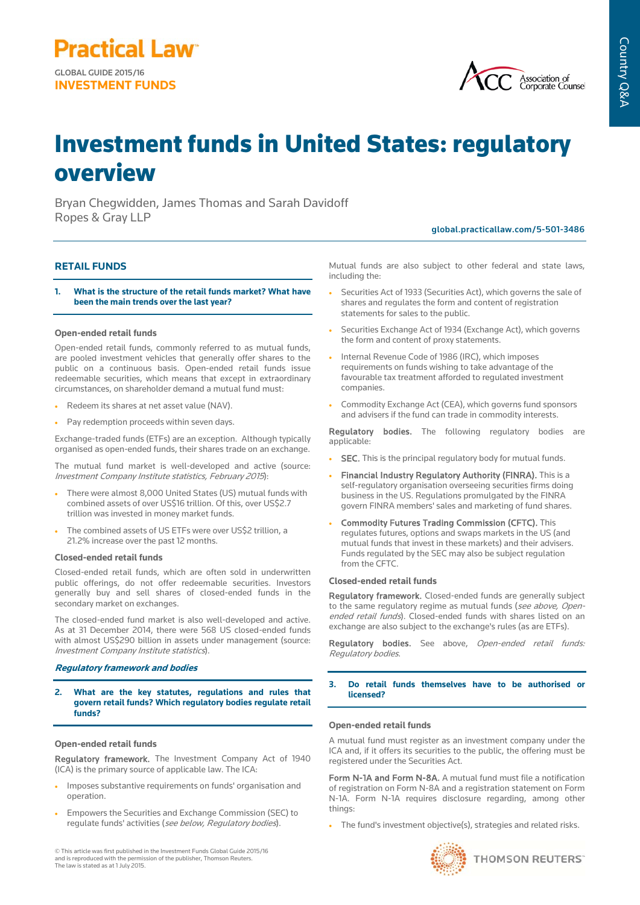

# Investment funds in United States: regulatory overview

Bryan Chegwidden, James Thomas and Sarah Davidoff Ropes & Gray LLP

# global.practicallaw.com/5-501-3486

# **RETAIL FUNDS**

**1. What is the structure of the retail funds market? What have been the main trends over the last year?**

## **Open-ended retail funds**

Open-ended retail funds, commonly referred to as mutual funds, are pooled investment vehicles that generally offer shares to the public on a continuous basis. Open-ended retail funds issue redeemable securities, which means that except in extraordinary circumstances, on shareholder demand a mutual fund must:

- Redeem its shares at net asset value (NAV).
- Pay redemption proceeds within seven days.

Exchange-traded funds (ETFs) are an exception. Although typically organised as open-ended funds, their shares trade on an exchange.

The mutual fund market is well-developed and active (source: Investment Company Institute statistics, February 2015):

- There were almost 8,000 United States (US) mutual funds with combined assets of over US\$16 trillion. Of this, over US\$2.7 trillion was invested in money market funds.
- The combined assets of US ETFs were over US\$2 trillion, a 21.2% increase over the past 12 months.

### **Closed-ended retail funds**

Closed-ended retail funds, which are often sold in underwritten public offerings, do not offer redeemable securities. Investors generally buy and sell shares of closed-ended funds in the secondary market on exchanges.

The closed-ended fund market is also well-developed and active. As at 31 December 2014, there were 568 US closed-ended funds with almost US\$290 billion in assets under management (source: Investment Company Institute statistics).

#### **Regulatory framework and bodies**

**2. What are the key statutes, regulations and rules that govern retail funds? Which regulatory bodies regulate retail funds?**

#### **Open-ended retail funds**

Regulatory framework. The Investment Company Act of 1940 (ICA) is the primary source of applicable law. The ICA:

- Imposes substantive requirements on funds' organisation and operation.
- Empowers the Securities and Exchange Commission (SEC) to regulate funds' activities (see below, Regulatory bodies).

© This article was first published in the Investment Funds Global Guide 2015/16 and is reproduced with the permission of the publisher, Thomson Reuters. The law is stated as at 1 July 2015.

Mutual funds are also subject to other federal and state laws, including the:

- Securities Act of 1933 (Securities Act), which governs the sale of shares and regulates the form and content of registration statements for sales to the public.
- Securities Exchange Act of 1934 (Exchange Act), which governs the form and content of proxy statements.
- Internal Revenue Code of 1986 (IRC), which imposes requirements on funds wishing to take advantage of the favourable tax treatment afforded to regulated investment companies.
- Commodity Exchange Act (CEA), which governs fund sponsors and advisers if the fund can trade in commodity interests.

Regulatory bodies. The following regulatory bodies are applicable:

- SEC. This is the principal regulatory body for mutual funds.
- Financial Industry Regulatory Authority (FINRA). This is a self-regulatory organisation overseeing securities firms doing business in the US. Regulations promulgated by the FINRA govern FINRA members' sales and marketing of fund shares.
- Commodity Futures Trading Commission (CFTC). This regulates futures, options and swaps markets in the US (and mutual funds that invest in these markets) and their advisers. Funds regulated by the SEC may also be subject regulation from the CFTC.

#### **Closed-ended retail funds**

Regulatory framework. Closed-ended funds are generally subject to the same regulatory regime as mutual funds (see above, Openended retail funds). Closed-ended funds with shares listed on an exchange are also subject to the exchange's rules (as are ETFs).

Regulatory bodies. See above, Open-ended retail funds: Regulatory bodies.

#### **3. Do retail funds themselves have to be authorised or licensed?**

#### **Open-ended retail funds**

A mutual fund must register as an investment company under the ICA and, if it offers its securities to the public, the offering must be registered under the Securities Act.

Form N-1A and Form N-8A. A mutual fund must file a notification of registration on Form N-8A and a registration statement on Form N-1A. Form N-1A requires disclosure regarding, among other things:

• The fund's investment objective(s), strategies and related risks.

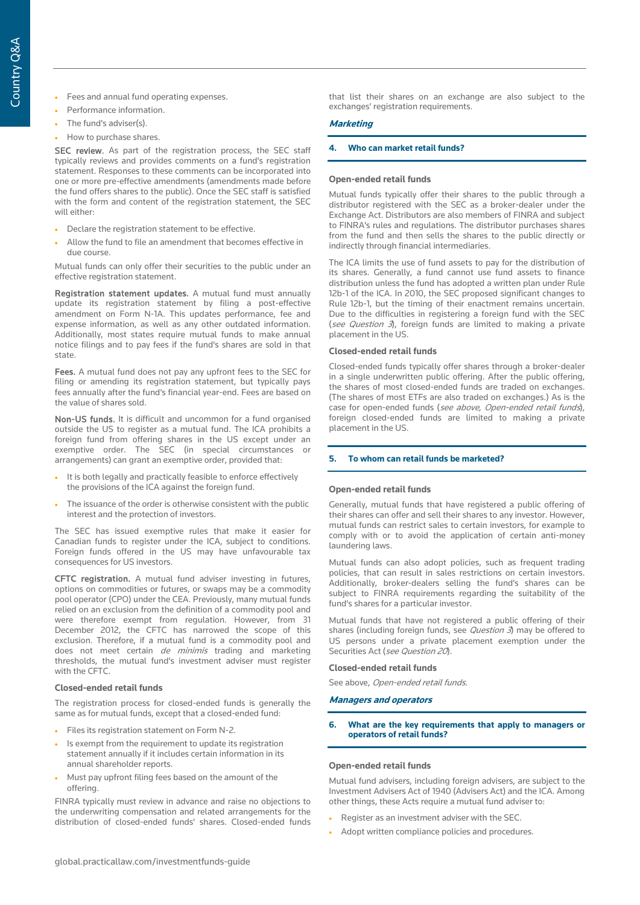- Fees and annual fund operating expenses.
- Performance information.
- The fund's adviser(s).
- How to purchase shares.

SEC review. As part of the registration process, the SEC staff typically reviews and provides comments on a fund's registration statement. Responses to these comments can be incorporated into one or more pre-effective amendments (amendments made before the fund offers shares to the public). Once the SEC staff is satisfied with the form and content of the registration statement, the SEC will either:

- Declare the registration statement to be effective.
- Allow the fund to file an amendment that becomes effective in due course.

Mutual funds can only offer their securities to the public under an effective registration statement.

Registration statement updates. A mutual fund must annually update its registration statement by filing a post-effective amendment on Form N-1A. This updates performance, fee and expense information, as well as any other outdated information. Additionally, most states require mutual funds to make annual notice filings and to pay fees if the fund's shares are sold in that state.

Fees. A mutual fund does not pay any upfront fees to the SEC for filing or amending its registration statement, but typically pays fees annually after the fund's financial year-end. Fees are based on the value of shares sold.

Non-US funds. It is difficult and uncommon for a fund organised outside the US to register as a mutual fund. The ICA prohibits a foreign fund from offering shares in the US except under an exemptive order. The SEC (in special circumstances or arrangements) can grant an exemptive order, provided that:

- It is both legally and practically feasible to enforce effectively the provisions of the ICA against the foreign fund.
- The issuance of the order is otherwise consistent with the public interest and the protection of investors.

The SEC has issued exemptive rules that make it easier for Canadian funds to register under the ICA, subject to conditions. Foreign funds offered in the US may have unfavourable tax consequences for US investors.

CFTC registration. A mutual fund adviser investing in futures, options on commodities or futures, or swaps may be a commodity pool operator (CPO) under the CEA. Previously, many mutual funds relied on an exclusion from the definition of a commodity pool and were therefore exempt from regulation. However, from 31 December 2012, the CFTC has narrowed the scope of this exclusion. Therefore, if a mutual fund is a commodity pool and does not meet certain de minimis trading and marketing thresholds, the mutual fund's investment adviser must register with the CFTC.

# **Closed-ended retail funds**

The registration process for closed-ended funds is generally the same as for mutual funds, except that a closed-ended fund:

- Files its registration statement on Form N-2.
- Is exempt from the requirement to update its registration statement annually if it includes certain information in its annual shareholder reports.
- Must pay upfront filing fees based on the amount of the offering.

FINRA typically must review in advance and raise no objections to the underwriting compensation and related arrangements for the distribution of closed-ended funds' shares. Closed-ended funds that list their shares on an exchange are also subject to the exchanges' registration requirements.

# **Marketing**

# **4. Who can market retail funds?**

# **Open-ended retail funds**

Mutual funds typically offer their shares to the public through a distributor registered with the SEC as a broker-dealer under the Exchange Act. Distributors are also members of FINRA and subject to FINRA's rules and regulations. The distributor purchases shares from the fund and then sells the shares to the public directly or indirectly through financial intermediaries.

The ICA limits the use of fund assets to pay for the distribution of its shares. Generally, a fund cannot use fund assets to finance distribution unless the fund has adopted a written plan under Rule 12b-1 of the ICA. In 2010, the SEC proposed significant changes to Rule 12b-1, but the timing of their enactment remains uncertain. Due to the difficulties in registering a foreign fund with the SEC (see Question  $3$ ), foreign funds are limited to making a private placement in the US.

# **Closed-ended retail funds**

Closed-ended funds typically offer shares through a broker-dealer in a single underwritten public offering. After the public offering, the shares of most closed-ended funds are traded on exchanges. (The shares of most ETFs are also traded on exchanges.) As is the case for open-ended funds (see above, Open-ended retail funds), foreign closed-ended funds are limited to making a private placement in the US.

# **5. To whom can retail funds be marketed?**

# **Open-ended retail funds**

Generally, mutual funds that have registered a public offering of their shares can offer and sell their shares to any investor. However, mutual funds can restrict sales to certain investors, for example to comply with or to avoid the application of certain anti-money laundering laws.

Mutual funds can also adopt policies, such as frequent trading policies, that can result in sales restrictions on certain investors. Additionally, broker-dealers selling the fund's shares can be subject to FINRA requirements regarding the suitability of the fund's shares for a particular investor.

Mutual funds that have not registered a public offering of their shares (including foreign funds, see *Question 3*) may be offered to US persons under a private placement exemption under the Securities Act (see Question 20).

# **Closed-ended retail funds**

See above, Open-ended retail funds.

# **Managers and operators**

# **6. What are the key requirements that apply to managers or operators of retail funds?**

# **Open-ended retail funds**

Mutual fund advisers, including foreign advisers, are subject to the Investment Advisers Act of 1940 (Advisers Act) and the ICA. Among other things, these Acts require a mutual fund adviser to:

- Register as an investment adviser with the SEC.
- Adopt written compliance policies and procedures.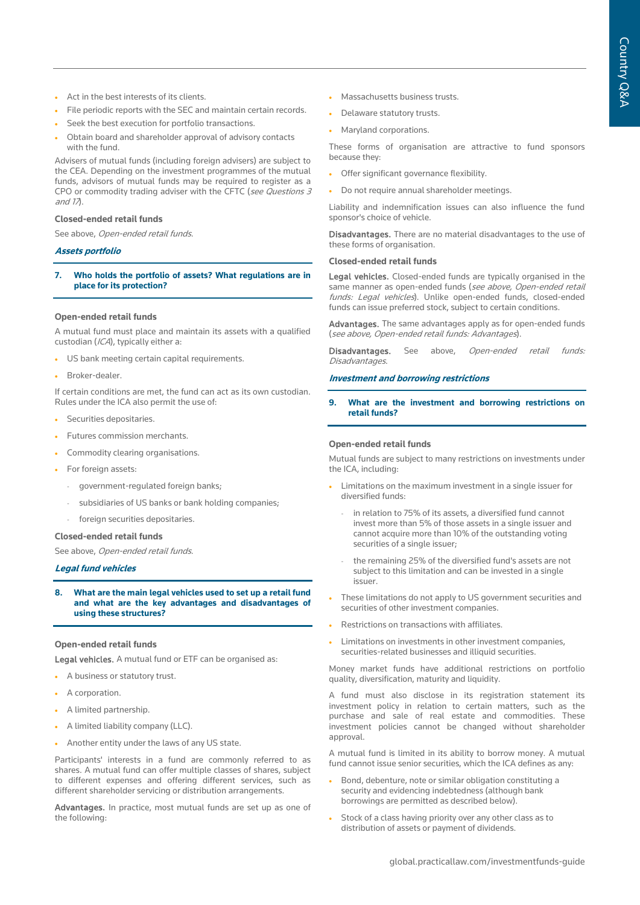- Act in the best interests of its clients.
- File periodic reports with the SEC and maintain certain records.
- Seek the best execution for portfolio transactions.
- Obtain board and shareholder approval of advisory contacts with the fund.

Advisers of mutual funds (including foreign advisers) are subject to the CEA. Depending on the investment programmes of the mutual funds, advisors of mutual funds may be required to register as a CPO or commodity trading adviser with the CFTC (see Questions 3 and  $1\lambda$ .

#### **Closed-ended retail funds**

See above, Open-ended retail funds.

#### **Assets portfolio**

**7. Who holds the portfolio of assets? What regulations are in place for its protection?**

#### **Open-ended retail funds**

A mutual fund must place and maintain its assets with a qualified custodian (ICA), typically either a:

- US bank meeting certain capital requirements.
- Broker-dealer.

If certain conditions are met, the fund can act as its own custodian. Rules under the ICA also permit the use of:

- Securities depositaries.
- Futures commission merchants.
- Commodity clearing organisations.
- For foreign assets:
- government-regulated foreign banks;
- subsidiaries of US banks or bank holding companies;
- foreign securities depositaries.

# **Closed-ended retail funds**

See above, Open-ended retail funds.

#### **Legal fund vehicles**

**8. What are the main legal vehicles used to set up a retail fund and what are the key advantages and disadvantages of using these structures?**

## **Open-ended retail funds**

Legal vehicles. A mutual fund or ETF can be organised as:

- A business or statutory trust.
- A corporation.
- A limited partnership.
- A limited liability company (LLC).
- Another entity under the laws of any US state.

Participants' interests in a fund are commonly referred to as shares. A mutual fund can offer multiple classes of shares, subject to different expenses and offering different services, such as different shareholder servicing or distribution arrangements.

Advantages. In practice, most mutual funds are set up as one of the following:

- Massachusetts business trusts.
- Delaware statutory trusts.
- Maryland corporations.

These forms of organisation are attractive to fund sponsors because they:

- Offer significant governance flexibility.
- Do not require annual shareholder meetings.

Liability and indemnification issues can also influence the fund sponsor's choice of vehicle.

Disadvantages. There are no material disadvantages to the use of these forms of organisation.

#### **Closed-ended retail funds**

Legal vehicles. Closed-ended funds are typically organised in the same manner as open-ended funds (see above, Open-ended retail funds: Legal vehicles). Unlike open-ended funds, closed-ended funds can issue preferred stock, subject to certain conditions.

Advantages. The same advantages apply as for open-ended funds (see above, Open-ended retail funds: Advantages).

Disadvantages. See above, Open-ended retail funds: Disadvantages.

# **Investment and borrowing restrictions**

**9. What are the investment and borrowing restrictions on retail funds?**

#### **Open-ended retail funds**

Mutual funds are subject to many restrictions on investments under the ICA, including:

- Limitations on the maximum investment in a single issuer for diversified funds:
	- in relation to 75% of its assets, a diversified fund cannot invest more than 5% of those assets in a single issuer and cannot acquire more than 10% of the outstanding voting securities of a single issuer;
	- the remaining 25% of the diversified fund's assets are not subject to this limitation and can be invested in a single issuer.
- These limitations do not apply to US government securities and securities of other investment companies.
- Restrictions on transactions with affiliates.
- Limitations on investments in other investment companies, securities-related businesses and illiquid securities.

Money market funds have additional restrictions on portfolio quality, diversification, maturity and liquidity.

A fund must also disclose in its registration statement its investment policy in relation to certain matters, such as the purchase and sale of real estate and commodities. These investment policies cannot be changed without shareholder approval.

A mutual fund is limited in its ability to borrow money. A mutual fund cannot issue senior securities, which the ICA defines as any:

- Bond, debenture, note or similar obligation constituting a security and evidencing indebtedness (although bank borrowings are permitted as described below).
- Stock of a class having priority over any other class as to distribution of assets or payment of dividends.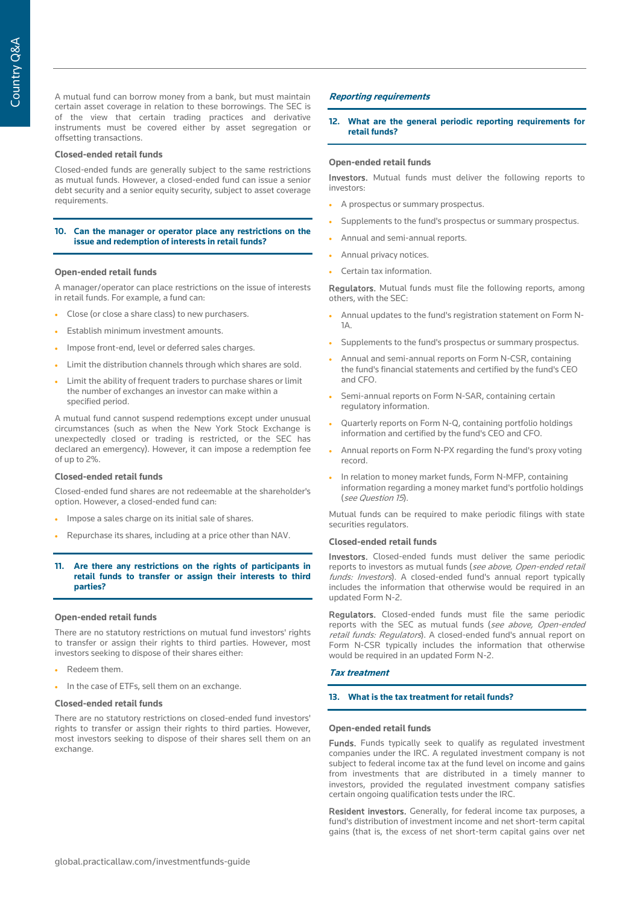A mutual fund can borrow money from a bank, but must maintain certain asset coverage in relation to these borrowings. The SEC is of the view that certain trading practices and derivative instruments must be covered either by asset segregation or offsetting transactions.

#### **Closed-ended retail funds**

Closed-ended funds are generally subject to the same restrictions as mutual funds. However, a closed-ended fund can issue a senior debt security and a senior equity security, subject to asset coverage requirements.

#### **10. Can the manager or operator place any restrictions on the issue and redemption of interests in retail funds?**

#### **Open-ended retail funds**

A manager/operator can place restrictions on the issue of interests in retail funds. For example, a fund can:

- Close (or close a share class) to new purchasers.
- Establish minimum investment amounts.
- Impose front-end, level or deferred sales charges.
- Limit the distribution channels through which shares are sold.
- Limit the ability of frequent traders to purchase shares or limit the number of exchanges an investor can make within a specified period.

A mutual fund cannot suspend redemptions except under unusual circumstances (such as when the New York Stock Exchange is unexpectedly closed or trading is restricted, or the SEC has declared an emergency). However, it can impose a redemption fee of up to 2%.

#### **Closed-ended retail funds**

Closed-ended fund shares are not redeemable at the shareholder's option. However, a closed-ended fund can:

- Impose a sales charge on its initial sale of shares.
- Repurchase its shares, including at a price other than NAV.

#### **11. Are there any restrictions on the rights of participants in retail funds to transfer or assign their interests to third parties?**

#### **Open-ended retail funds**

There are no statutory restrictions on mutual fund investors' rights to transfer or assign their rights to third parties. However, most investors seeking to dispose of their shares either:

- Redeem them.
- In the case of ETFs, sell them on an exchange.

#### **Closed-ended retail funds**

There are no statutory restrictions on closed-ended fund investors' rights to transfer or assign their rights to third parties. However, most investors seeking to dispose of their shares sell them on an exchange.

#### **Reporting requirements**

#### **12. What are the general periodic reporting requirements for retail funds?**

#### **Open-ended retail funds**

Investors. Mutual funds must deliver the following reports to investors:

- A prospectus or summary prospectus.
- Supplements to the fund's prospectus or summary prospectus.
- Annual and semi-annual reports.
- Annual privacy notices.
- Certain tax information.

Regulators. Mutual funds must file the following reports, among others, with the SEC:

- Annual updates to the fund's registration statement on Form N-1A.
- Supplements to the fund's prospectus or summary prospectus.
- Annual and semi-annual reports on Form N-CSR, containing the fund's financial statements and certified by the fund's CEO and CFO.
- Semi-annual reports on Form N-SAR, containing certain regulatory information.
- Quarterly reports on Form N-Q, containing portfolio holdings information and certified by the fund's CEO and CFO.
- Annual reports on Form N-PX regarding the fund's proxy voting record.
- In relation to money market funds, Form N-MFP, containing information regarding a money market fund's portfolio holdings (see Question 15).

Mutual funds can be required to make periodic filings with state securities regulators.

#### **Closed-ended retail funds**

Investors. Closed-ended funds must deliver the same periodic reports to investors as mutual funds (see above, Open-ended retail funds: Investors). A closed-ended fund's annual report typically includes the information that otherwise would be required in an updated Form N-2.

Regulators. Closed-ended funds must file the same periodic reports with the SEC as mutual funds (see above, Open-ended retail funds: Regulators). A closed-ended fund's annual report on Form N-CSR typically includes the information that otherwise would be required in an updated Form N-2.

#### **Tax treatment**

#### **13. What is the tax treatment for retail funds?**

#### **Open-ended retail funds**

Funds. Funds typically seek to qualify as regulated investment companies under the IRC. A regulated investment company is not subject to federal income tax at the fund level on income and gains from investments that are distributed in a timely manner to investors, provided the regulated investment company satisfies certain ongoing qualification tests under the IRC.

Resident investors. Generally, for federal income tax purposes, a fund's distribution of investment income and net short-term capital gains (that is, the excess of net short-term capital gains over net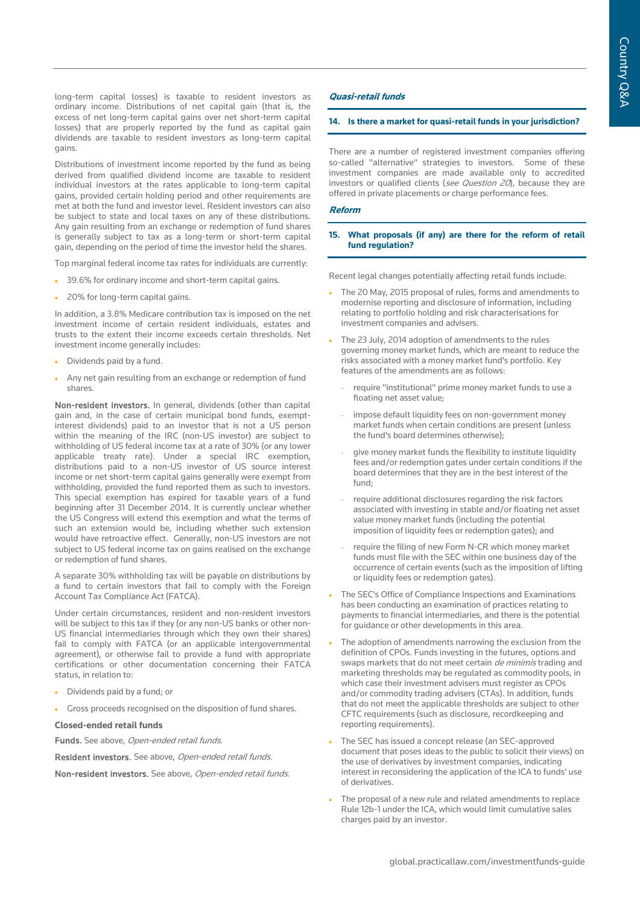long-term capital losses) is taxable to resident investors as ordinary income. Distributions of net capital gain (that is, the excess of net long-term capital gains over net short-term capital losses) that are properly reported by the fund as capital gain dividends are taxable to resident investors as long-term capital gains.

Distributions of investment income reported by the fund as being derived from qualified dividend income are taxable to resident individual investors at the rates applicable to long-term capital gains, provided certain holding period and other requirements are met at both the fund and investor level. Resident investors can also be subject to state and local taxes on any of these distributions. Any gain resulting from an exchange or redemption of fund shares is generally subject to tax as a long-term or short-term capital gain, depending on the period of time the investor held the shares.

Top marginal federal income tax rates for individuals are currently:

- 39.6% for ordinary income and short-term capital gains.
- 20% for long-term capital gains.

In addition, a 3.8% Medicare contribution tax is imposed on the net investment income of certain resident individuals, estates and trusts to the extent their income exceeds certain thresholds. Net investment income generally includes:

- Dividends paid by a fund.
- Any net gain resulting from an exchange or redemption of fund shares.

Non-resident investors. In general, dividends (other than capital gain and, in the case of certain municipal bond funds, exemptinterest dividends) paid to an investor that is not a US person within the meaning of the IRC (non-US investor) are subject to withholding of US federal income tax at a rate of 30% (or any lower applicable treaty rate). Under a special IRC exemption, distributions paid to a non-US investor of US source interest income or net short-term capital gains generally were exempt from withholding, provided the fund reported them as such to investors. This special exemption has expired for taxable years of a fund beginning after 31 December 2014. It is currently unclear whether the US Congress will extend this exemption and what the terms of such an extension would be, including whether such extension would have retroactive effect. Generally, non-US investors are not subject to US federal income tax on gains realised on the exchange or redemption of fund shares.

A separate 30% withholding tax will be payable on distributions by a fund to certain investors that fail to comply with the Foreign Account Tax Compliance Act (FATCA).

Under certain circumstances, resident and non-resident investors will be subject to this tax if they (or any non-US banks or other non-US financial intermediaries through which they own their shares) fail to comply with FATCA (or an applicable intergovernmental agreement), or otherwise fail to provide a fund with appropriate certifications or other documentation concerning their FATCA status, in relation to:

- Dividends paid by a fund; or
- Gross proceeds recognised on the disposition of fund shares.

**Closed-ended retail funds**

Funds. See above, Open-ended retail funds.

Resident investors. See above, Open-ended retail funds.

Non-resident investors. See above, Open-ended retail funds.

#### **Quasi-retail funds**

#### **14. Is there a market for quasi-retail funds in your jurisdiction?**

There are a number of registered investment companies offering so-called "alternative" strategies to investors. Some of these investment companies are made available only to accredited investors or qualified clients (see Question 20), because they are offered in private placements or charge performance fees.

## **Reform**

#### **15. What proposals (if any) are there for the reform of retail fund regulation?**

Recent legal changes potentially affecting retail funds include:

- The 20 May, 2015 proposal of rules, forms and amendments to modernise reporting and disclosure of information, including relating to portfolio holding and risk characterisations for investment companies and advisers.
- The 23 July, 2014 adoption of amendments to the rules governing money market funds, which are meant to reduce the risks associated with a money market fund's portfolio. Key features of the amendments are as follows:
	- require "institutional" prime money market funds to use a floating net asset value;
	- impose default liquidity fees on non-government money market funds when certain conditions are present (unless the fund's board determines otherwise);
	- give money market funds the flexibility to institute liquidity fees and/or redemption gates under certain conditions if the board determines that they are in the best interest of the fund;
	- require additional disclosures regarding the risk factors associated with investing in stable and/or floating net asset value money market funds (including the potential imposition of liquidity fees or redemption gates); and
	- require the filing of new Form N-CR which money market funds must file with the SEC within one business day of the occurrence of certain events (such as the imposition of lifting or liquidity fees or redemption gates).
- The SEC's Office of Compliance Inspections and Examinations has been conducting an examination of practices relating to payments to financial intermediaries, and there is the potential for guidance or other developments in this area.
- The adoption of amendments narrowing the exclusion from the definition of CPOs. Funds investing in the futures, options and swaps markets that do not meet certain de minimis trading and marketing thresholds may be regulated as commodity pools, in which case their investment advisers must register as CPOs and/or commodity trading advisers (CTAs). In addition, funds that do not meet the applicable thresholds are subject to other CFTC requirements (such as disclosure, recordkeeping and reporting requirements).
- The SEC has issued a concept release (an SEC-approved document that poses ideas to the public to solicit their views) on the use of derivatives by investment companies, indicating interest in reconsidering the application of the ICA to funds' use of derivatives.
- The proposal of a new rule and related amendments to replace Rule 12b-1 under the ICA, which would limit cumulative sales charges paid by an investor.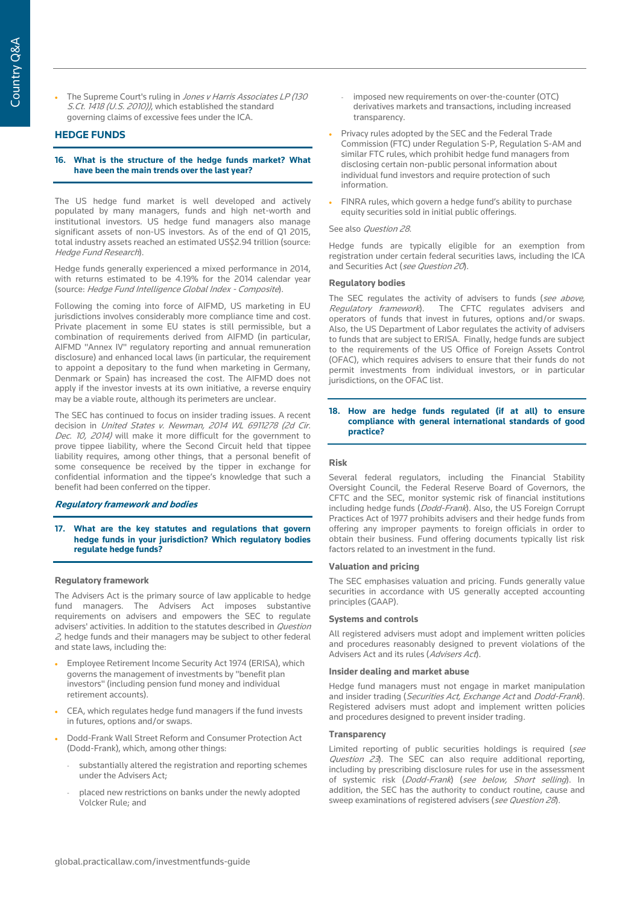The Supreme Court's ruling in Jones v Harris Associates LP (130) S.Ct. 1418 (U.S. 2010)), which established the standard governing claims of excessive fees under the ICA.

#### **HEDGE FUNDS**

#### **16. What is the structure of the hedge funds market? What have been the main trends over the last year?**

The US hedge fund market is well developed and actively populated by many managers, funds and high net-worth and institutional investors. US hedge fund managers also manage significant assets of non-US investors. As of the end of Q1 2015, total industry assets reached an estimated US\$2.94 trillion (source: Hedge Fund Research).

Hedge funds generally experienced a mixed performance in 2014, with returns estimated to be 4.19% for the 2014 calendar year (source: Hedge Fund Intelligence Global Index - Composite).

Following the coming into force of AIFMD, US marketing in EU jurisdictions involves considerably more compliance time and cost. Private placement in some EU states is still permissible, but a combination of requirements derived from AIFMD (in particular, AIFMD "Annex IV" regulatory reporting and annual remuneration disclosure) and enhanced local laws (in particular, the requirement to appoint a depositary to the fund when marketing in Germany, Denmark or Spain) has increased the cost. The AIFMD does not apply if the investor invests at its own initiative, a reverse enquiry may be a viable route, although its perimeters are unclear.

The SEC has continued to focus on insider trading issues. A recent decision in United States v. Newman, 2014 WL 6911278 (2d Cir. Dec. 10, 2014) will make it more difficult for the government to prove tippee liability, where the Second Circuit held that tippee liability requires, among other things, that a personal benefit of some consequence be received by the tipper in exchange for confidential information and the tippee's knowledge that such a benefit had been conferred on the tipper.

# **Regulatory framework and bodies**

#### **17. What are the key statutes and regulations that govern hedge funds in your jurisdiction? Which regulatory bodies regulate hedge funds?**

#### **Regulatory framework**

The Advisers Act is the primary source of law applicable to hedge fund managers. The Advisers Act imposes substantive requirements on advisers and empowers the SEC to regulate advisers' activities. In addition to the statutes described in Question <sup>2</sup>, hedge funds and their managers may be subject to other federal and state laws, including the:

- Employee Retirement Income Security Act 1974 (ERISA), which governs the management of investments by "benefit plan investors" (including pension fund money and individual retirement accounts).
- CEA, which regulates hedge fund managers if the fund invests in futures, options and/or swaps.
- Dodd-Frank Wall Street Reform and Consumer Protection Act (Dodd-Frank), which, among other things:
	- substantially altered the registration and reporting schemes under the Advisers Act;
	- placed new restrictions on banks under the newly adopted Volcker Rule; and
- imposed new requirements on over-the-counter (OTC) derivatives markets and transactions, including increased transparency.
- Privacy rules adopted by the SEC and the Federal Trade Commission (FTC) under Regulation S-P, Regulation S-AM and similar FTC rules, which prohibit hedge fund managers from disclosing certain non-public personal information about individual fund investors and require protection of such information.
- FINRA rules, which govern a hedge fund's ability to purchase equity securities sold in initial public offerings.

#### See also Question 28.

Hedge funds are typically eligible for an exemption from registration under certain federal securities laws, including the ICA and Securities Act (see Question 20).

#### **Regulatory bodies**

The SEC regulates the activity of advisers to funds (see above, Regulatory framework). The CFTC regulates advisers and The CFTC regulates advisers and operators of funds that invest in futures, options and/or swaps. Also, the US Department of Labor regulates the activity of advisers to funds that are subject to ERISA. Finally, hedge funds are subject to the requirements of the US Office of Foreign Assets Control (OFAC), which requires advisers to ensure that their funds do not permit investments from individual investors, or in particular jurisdictions, on the OFAC list.

#### **18. How are hedge funds regulated (if at all) to ensure compliance with general international standards of good practice?**

#### **Risk**

Several federal regulators, including the Financial Stability Oversight Council, the Federal Reserve Board of Governors, the CFTC and the SEC, monitor systemic risk of financial institutions including hedge funds (Dodd-Frank). Also, the US Foreign Corrupt Practices Act of 1977 prohibits advisers and their hedge funds from offering any improper payments to foreign officials in order to obtain their business. Fund offering documents typically list risk factors related to an investment in the fund.

#### **Valuation and pricing**

The SEC emphasises valuation and pricing. Funds generally value securities in accordance with US generally accepted accounting principles (GAAP).

#### **Systems and controls**

All registered advisers must adopt and implement written policies and procedures reasonably designed to prevent violations of the Advisers Act and its rules (Advisers Act).

#### **Insider dealing and market abuse**

Hedge fund managers must not engage in market manipulation and insider trading (Securities Act, Exchange Act and Dodd-Frank). Registered advisers must adopt and implement written policies and procedures designed to prevent insider trading.

# **Transparency**

Limited reporting of public securities holdings is required (see Question 23). The SEC can also require additional reporting, including by prescribing disclosure rules for use in the assessment of systemic risk (Dodd-Frank) (see below, Short selling). In addition, the SEC has the authority to conduct routine, cause and sweep examinations of registered advisers (see Question 28).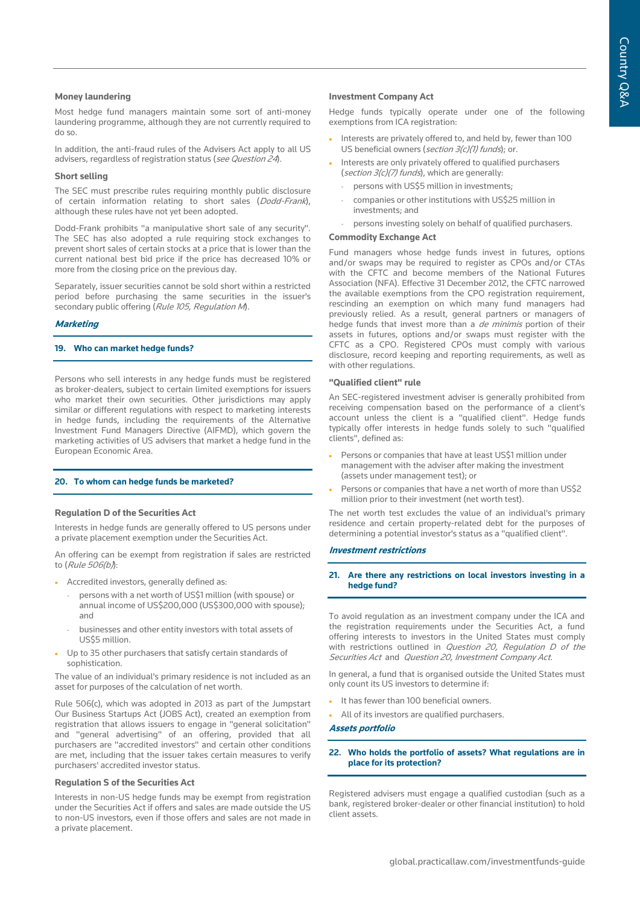### **Money laundering**

Most hedge fund managers maintain some sort of anti-money laundering programme, although they are not currently required to do so.

In addition, the anti-fraud rules of the Advisers Act apply to all US advisers, regardless of registration status (see Question 24).

## **Short selling**

The SEC must prescribe rules requiring monthly public disclosure of certain information relating to short sales (Dodd-Frank), although these rules have not yet been adopted.

Dodd-Frank prohibits "a manipulative short sale of any security". The SEC has also adopted a rule requiring stock exchanges to prevent short sales of certain stocks at a price that is lower than the current national best bid price if the price has decreased 10% or more from the closing price on the previous day.

Separately, issuer securities cannot be sold short within a restricted period before purchasing the same securities in the issuer's secondary public offering (Rule 105, Regulation M).

# **Marketing**

#### **19. Who can market hedge funds?**

Persons who sell interests in any hedge funds must be registered as broker-dealers, subject to certain limited exemptions for issuers who market their own securities. Other jurisdictions may apply similar or different regulations with respect to marketing interests in hedge funds, including the requirements of the Alternative Investment Fund Managers Directive (AIFMD), which govern the marketing activities of US advisers that market a hedge fund in the European Economic Area.

# **20. To whom can hedge funds be marketed?**

### **Regulation D of the Securities Act**

Interests in hedge funds are generally offered to US persons under a private placement exemption under the Securities Act.

An offering can be exempt from registration if sales are restricted to (Rule 506(b)):

- Accredited investors, generally defined as:
	- persons with a net worth of US\$1 million (with spouse) or annual income of US\$200,000 (US\$300,000 with spouse); and
	- businesses and other entity investors with total assets of US\$5 million.
- Up to 35 other purchasers that satisfy certain standards of sophistication.

The value of an individual's primary residence is not included as an asset for purposes of the calculation of net worth.

Rule 506(c), which was adopted in 2013 as part of the Jumpstart Our Business Startups Act (JOBS Act), created an exemption from registration that allows issuers to engage in "general solicitation" and "general advertising" of an offering, provided that all purchasers are "accredited investors" and certain other conditions are met, including that the issuer takes certain measures to verify purchasers' accredited investor status.

#### **Regulation S of the Securities Act**

Interests in non-US hedge funds may be exempt from registration under the Securities Act if offers and sales are made outside the US to non-US investors, even if those offers and sales are not made in a private placement.

### **Investment Company Act**

Hedge funds typically operate under one of the following exemptions from ICA registration:

- Interests are privately offered to, and held by, fewer than 100 US beneficial owners (section 3(c)(1) funds); or.
- Interests are only privately offered to qualified purchasers (section 3(c)(7) funds), which are generally:
	- persons with US\$5 million in investments;
	- companies or other institutions with US\$25 million in investments; and
	- persons investing solely on behalf of qualified purchasers.

# **Commodity Exchange Act**

Fund managers whose hedge funds invest in futures, options and/or swaps may be required to register as CPOs and/or CTAs with the CFTC and become members of the National Futures Association (NFA). Effective 31 December 2012, the CFTC narrowed the available exemptions from the CPO registration requirement, rescinding an exemption on which many fund managers had previously relied. As a result, general partners or managers of hedge funds that invest more than a *de minimis* portion of their assets in futures, options and/or swaps must register with the CFTC as a CPO. Registered CPOs must comply with various disclosure, record keeping and reporting requirements, as well as with other regulations.

#### **"Qualified client" rule**

An SEC-registered investment adviser is generally prohibited from receiving compensation based on the performance of a client's account unless the client is a "qualified client". Hedge funds typically offer interests in hedge funds solely to such "qualified clients", defined as:

- Persons or companies that have at least US\$1 million under management with the adviser after making the investment (assets under management test); or
- Persons or companies that have a net worth of more than US\$2 million prior to their investment (net worth test).

The net worth test excludes the value of an individual's primary residence and certain property-related debt for the purposes of determining a potential investor's status as a "qualified client".

#### **Investment restrictions**

## **21. Are there any restrictions on local investors investing in a hedge fund?**

To avoid regulation as an investment company under the ICA and the registration requirements under the Securities Act, a fund offering interests to investors in the United States must comply with restrictions outlined in *Question 20, Regulation D of the* Securities Act and Question 20, Investment Company Act.

In general, a fund that is organised outside the United States must only count its US investors to determine if:

It has fewer than 100 beneficial owners.

• All of its investors are qualified purchasers.

#### **Assets portfolio**

#### **22. Who holds the portfolio of assets? What regulations are in place for its protection?**

Registered advisers must engage a qualified custodian (such as a bank, registered broker-dealer or other financial institution) to hold client assets.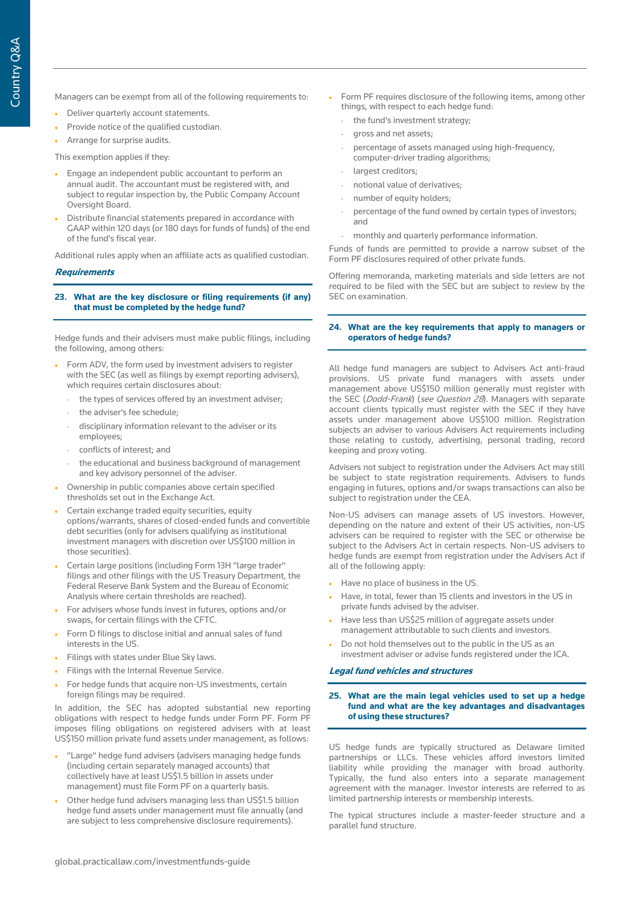- Deliver quarterly account statements.
- Provide notice of the qualified custodian.
- Arrange for surprise audits.

This exemption applies if they:

- Engage an independent public accountant to perform an annual audit. The accountant must be registered with, and subject to regular inspection by, the Public Company Account Oversight Board.
- Distribute financial statements prepared in accordance with GAAP within 120 days (or 180 days for funds of funds) of the end of the fund's fiscal year.

Additional rules apply when an affiliate acts as qualified custodian.

#### **Requirements**

#### **23. What are the key disclosure or filing requirements (if any) that must be completed by the hedge fund?**

Hedge funds and their advisers must make public filings, including the following, among others:

- Form ADV, the form used by investment advisers to register with the SEC (as well as filings by exempt reporting advisers), which requires certain disclosures about:
	- the types of services offered by an investment adviser;
	- the adviser's fee schedule;
	- disciplinary information relevant to the adviser or its employees;
	- conflicts of interest; and
	- the educational and business background of management and key advisory personnel of the adviser.
- Ownership in public companies above certain specified thresholds set out in the Exchange Act.
- Certain exchange traded equity securities, equity options/warrants, shares of closed-ended funds and convertible debt securities (only for advisers qualifying as institutional investment managers with discretion over US\$100 million in those securities).
- Certain large positions (including Form 13H "large trader" filings and other filings with the US Treasury Department, the Federal Reserve Bank System and the Bureau of Economic Analysis where certain thresholds are reached).
- For advisers whose funds invest in futures, options and/or swaps, for certain filings with the CFTC.
- Form D filings to disclose initial and annual sales of fund interests in the US.
- Filings with states under Blue Sky laws.
- Filings with the Internal Revenue Service.
- For hedge funds that acquire non-US investments, certain foreign filings may be required.

In addition, the SEC has adopted substantial new reporting obligations with respect to hedge funds under Form PF. Form PF imposes filing obligations on registered advisers with at least US\$150 million private fund assets under management, as follows:

- "Large" hedge fund advisers (advisers managing hedge funds (including certain separately managed accounts) that collectively have at least US\$1.5 billion in assets under management) must file Form PF on a quarterly basis.
- Other hedge fund advisers managing less than US\$1.5 billion hedge fund assets under management must file annually (and are subject to less comprehensive disclosure requirements).
- Form PF requires disclosure of the following items, among other things, with respect to each hedge fund:
	- the fund's investment strategy;
	- gross and net assets;
	- percentage of assets managed using high-frequency, computer-driver trading algorithms;
- largest creditors;
- notional value of derivatives:
- number of equity holders;
- percentage of the fund owned by certain types of investors; and
- monthly and quarterly performance information.

Funds of funds are permitted to provide a narrow subset of the Form PF disclosures required of other private funds.

Offering memoranda, marketing materials and side letters are not required to be filed with the SEC but are subject to review by the SEC on examination.

#### **24. What are the key requirements that apply to managers or operators of hedge funds?**

All hedge fund managers are subject to Advisers Act anti-fraud provisions. US private fund managers with assets under management above US\$150 million generally must register with the SEC (*Dodd-Frank*) (see Question 28). Managers with separate account clients typically must register with the SEC if they have assets under management above US\$100 million. Registration subjects an adviser to various Advisers Act requirements including those relating to custody, advertising, personal trading, record keeping and proxy voting.

Advisers not subject to registration under the Advisers Act may still be subject to state registration requirements. Advisers to funds engaging in futures, options and/or swaps transactions can also be subject to registration under the CEA.

Non-US advisers can manage assets of US investors. However, depending on the nature and extent of their US activities, non-US advisers can be required to register with the SEC or otherwise be subject to the Advisers Act in certain respects. Non-US advisers to hedge funds are exempt from registration under the Advisers Act if all of the following apply:

- Have no place of business in the US.
- Have, in total, fewer than 15 clients and investors in the US in private funds advised by the adviser.
- Have less than US\$25 million of aggregate assets under management attributable to such clients and investors.
- Do not hold themselves out to the public in the US as an investment adviser or advise funds registered under the ICA.

#### **Legal fund vehicles and structures**

**25. What are the main legal vehicles used to set up a hedge fund and what are the key advantages and disadvantages of using these structures?**

US hedge funds are typically structured as Delaware limited partnerships or LLCs. These vehicles afford investors limited liability while providing the manager with broad authority. Typically, the fund also enters into a separate management agreement with the manager. Investor interests are referred to as limited partnership interests or membership interests.

The typical structures include a master-feeder structure and a parallel fund structure.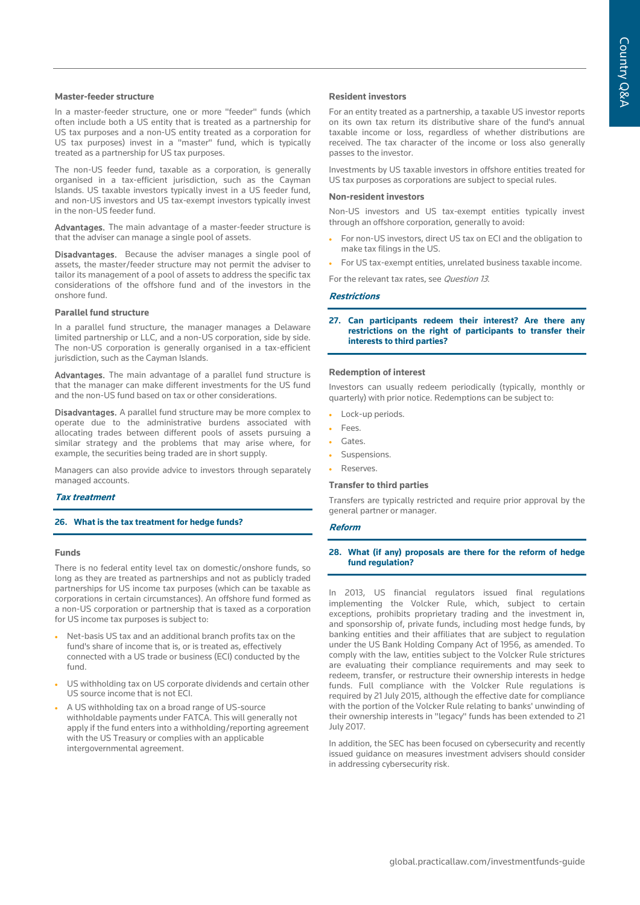#### **Master-feeder structure**

In a master-feeder structure, one or more "feeder" funds (which often include both a US entity that is treated as a partnership for US tax purposes and a non-US entity treated as a corporation for US tax purposes) invest in a "master" fund, which is typically treated as a partnership for US tax purposes.

The non-US feeder fund, taxable as a corporation, is generally organised in a tax-efficient jurisdiction, such as the Cayman Islands. US taxable investors typically invest in a US feeder fund, and non-US investors and US tax-exempt investors typically invest in the non-US feeder fund.

Advantages. The main advantage of a master-feeder structure is that the adviser can manage a single pool of assets.

Disadvantages. Because the adviser manages a single pool of assets, the master/feeder structure may not permit the adviser to tailor its management of a pool of assets to address the specific tax considerations of the offshore fund and of the investors in the onshore fund.

#### **Parallel fund structure**

In a parallel fund structure, the manager manages a Delaware limited partnership or LLC, and a non-US corporation, side by side. The non-US corporation is generally organised in a tax-efficient jurisdiction, such as the Cayman Islands.

Advantages. The main advantage of a parallel fund structure is that the manager can make different investments for the US fund and the non-US fund based on tax or other considerations.

Disadvantages. A parallel fund structure may be more complex to operate due to the administrative burdens associated with allocating trades between different pools of assets pursuing a similar strategy and the problems that may arise where, for example, the securities being traded are in short supply.

Managers can also provide advice to investors through separately managed accounts.

# **Tax treatment**

#### **26. What is the tax treatment for hedge funds?**

#### **Funds**

There is no federal entity level tax on domestic/onshore funds, so long as they are treated as partnerships and not as publicly traded partnerships for US income tax purposes (which can be taxable as corporations in certain circumstances). An offshore fund formed as a non-US corporation or partnership that is taxed as a corporation for US income tax purposes is subject to:

- Net-basis US tax and an additional branch profits tax on the fund's share of income that is, or is treated as, effectively connected with a US trade or business (ECI) conducted by the fund.
- US withholding tax on US corporate dividends and certain other US source income that is not ECI.
- A US withholding tax on a broad range of US-source withholdable payments under FATCA. This will generally not apply if the fund enters into a withholding/reporting agreement with the US Treasury or complies with an applicable intergovernmental agreement.

#### **Resident investors**

For an entity treated as a partnership, a taxable US investor reports on its own tax return its distributive share of the fund's annual taxable income or loss, regardless of whether distributions are received. The tax character of the income or loss also generally passes to the investor.

Investments by US taxable investors in offshore entities treated for US tax purposes as corporations are subject to special rules.

#### **Non-resident investors**

Non-US investors and US tax-exempt entities typically invest through an offshore corporation, generally to avoid:

- For non-US investors, direct US tax on ECI and the obligation to make tax filings in the US.
- For US tax-exempt entities, unrelated business taxable income.
- For the relevant tax rates, see Question 13.

### **Restrictions**

**27. Can participants redeem their interest? Are there any restrictions on the right of participants to transfer their interests to third parties?**

#### **Redemption of interest**

Investors can usually redeem periodically (typically, monthly or quarterly) with prior notice. Redemptions can be subject to:

- Lock-up periods.
- Fees.
- Gates.
- Suspensions.
- Reserves.

#### **Transfer to third parties**

Transfers are typically restricted and require prior approval by the general partner or manager.

#### **Reform**

#### **28. What (if any) proposals are there for the reform of hedge fund regulation?**

In 2013, US financial regulators issued final regulations implementing the Volcker Rule, which, subject to certain exceptions, prohibits proprietary trading and the investment in, and sponsorship of, private funds, including most hedge funds, by banking entities and their affiliates that are subject to regulation under the US Bank Holding Company Act of 1956, as amended. To comply with the law, entities subject to the Volcker Rule strictures are evaluating their compliance requirements and may seek to redeem, transfer, or restructure their ownership interests in hedge funds. Full compliance with the Volcker Rule regulations is required by 21 July 2015, although the effective date for compliance with the portion of the Volcker Rule relating to banks' unwinding of their ownership interests in "legacy" funds has been extended to 21 July 2017.

In addition, the SEC has been focused on cybersecurity and recently issued guidance on measures investment advisers should consider in addressing cybersecurity risk.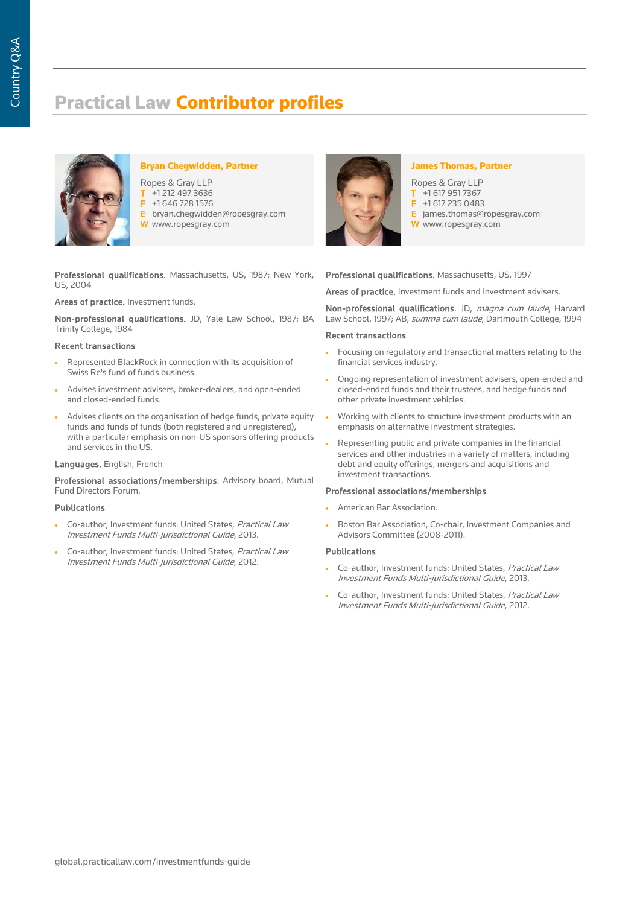# Practical Law Contributor profiles



# Bryan Chegwidden, Partner

- Ropes & Gray LLP
- $\overline{1}$  +1 212 497 3636 F +1 646 728 1576
- E bryan.chegwidden@ropesgray.com
- W www.ropesgray.com

Professional qualifications. Massachusetts, US, 1987; New York, US, 2004

# Areas of practice. Investment funds.

Non-professional qualifications. JD, Yale Law School, 1987; BA Trinity College, 1984

#### Recent transactions

- Represented BlackRock in connection with its acquisition of Swiss Re's fund of funds business.
- Advises investment advisers, broker-dealers, and open-ended and closed-ended funds.
- Advises clients on the organisation of hedge funds, private equity funds and funds of funds (both registered and unregistered), with a particular emphasis on non-US sponsors offering products and services in the US.

# Languages. English, French

Professional associations/memberships. Advisory board, Mutual Fund Directors Forum.

#### Publications

- Co-author, Investment funds: United States, Practical Law Investment Funds Multi-jurisdictional Guide, 2013.
- Co-author, Investment funds: United States, Practical Law Investment Funds Multi-jurisdictional Guide, 2012.



## James Thomas, Partner

- Ropes & Gray LLP  $\overline{1}$  +1 617 951 7367<br> $\overline{5}$  +1 617 235 048 F +1 617 235 0483 E james.thomas@ropesgray.com
- W www.ropesgray.com

# Professional qualifications. Massachusetts, US, 1997

Areas of practice. Investment funds and investment advisers.

Non-professional qualifications. JD, magna cum laude, Harvard Law School, 1997; AB, summa cum laude, Dartmouth College, 1994

#### Recent transactions

- Focusing on regulatory and transactional matters relating to the financial services industry.
- Ongoing representation of investment advisers, open-ended and closed-ended funds and their trustees, and hedge funds and other private investment vehicles.
- Working with clients to structure investment products with an emphasis on alternative investment strategies.
- Representing public and private companies in the financial services and other industries in a variety of matters, including debt and equity offerings, mergers and acquisitions and investment transactions.

#### Professional associations/memberships

- American Bar Association.
- Boston Bar Association, Co-chair, Investment Companies and Advisors Committee (2008-2011).

# Publications

- Co-author, Investment funds: United States, Practical Law Investment Funds Multi-jurisdictional Guide, 2013.
- Co-author, Investment funds: United States, Practical Law Investment Funds Multi-jurisdictional Guide, 2012.